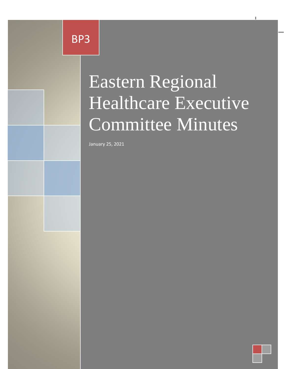Eastern Regional Healthcare BP3

Minuts

# Executive Committee Committee Committee Committee Committee Committee Committee Committee Committee Committee Minutes Eastern Regional Healthcare Executive Committee Minutes

Eastern Regional Healthcare Executive Committee Minutes BP3

January 25, 2021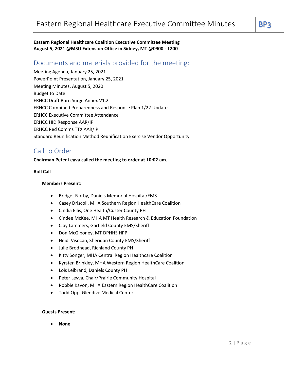**Eastern Regional Healthcare Coalition Executive Committee Meeting August 5, 2021 @MSU Extension Office in Sidney, MT @0900 - 1200**

# Documents and materials provided for the meeting:

Meeting Agenda, January 25, 2021 PowerPoint Presentation, January 25, 2021 Meeting Minutes, August 5, 2020 Budget to Date ERHCC Draft Burn Surge Annex V1.2 ERHCC Combined Preparedness and Response Plan 1/22 Update ERHCC Executive Committee Attendance ERHCC HID Response AAR/IP ERHCC Red Comms TTX AAR/IP Standard Reunification Method Reunification Exercise Vendor Opportunity

# Call to Order

#### **Chairman Peter Leyva called the meeting to order at 10:02 am.**

#### **Roll Call**

#### **Members Present:**

- Bridget Norby, Daniels Memorial Hospital/EMS
- Casey Driscoll, MHA Southern Region HealthCare Coalition
- Cindia Ellis, One Health/Custer County PH
- Cindee McKee, MHA MT Health Research & Education Foundation
- Clay Lammers, Garfield County EMS/Sheriff
- Don McGiboney, MT DPHHS HPP
- Heidi Visocan, Sheridan County EMS/Sheriff
- Julie Brodhead, Richland County PH
- Kitty Songer, MHA Central Region Healthcare Coalition
- Kyrsten Brinkley, MHA Western Region HealthCare Coalition
- Lois Leibrand, Daniels County PH
- Peter Leyva, Chair/Prairie Community Hospital
- Robbie Kavon, MHA Eastern Region HealthCare Coalition
- Todd Opp, Glendive Medical Center

#### **Guests Present:**

• **None**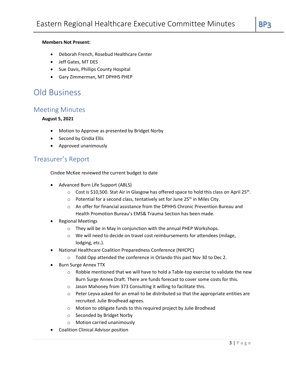- Deborah French, Rosebud Healthcare Center
- Jeff Gates, MT DES
- Sue Davis, Phillips County Hospital
- Gary Zimmerman, MT DPHHS PHEP

# Old Business

# Meeting Minutes

#### **August 5, 2021**

- Motion to Approve as presented by Bridget Norby
- Second by Cindia Ellis
- Approved unanimously

# Treasurer's Report

Cindee McKee reviewed the current budget to date

- Advanced Burn Life Support (ABLS)
	- $\circ$  Cost is \$10,500. Stat Air in Glasgow has offered space to hold this class on April 25<sup>th</sup>.
	- $\circ$  Potential for a second class, tentatively set for June 25<sup>th</sup> in Miles City.
	- o An offer for financial assistance from the DPHHS Chronic Prevention Bureau and Health Promotion Bureau's EMS& Trauma Section has been made.
- Regional Meetings
	- o They will be in May in conjunction with the annual PHEP Workshops.
	- o We will need to decide on travel cost reimbursements for attendees (milage, lodging, etc.).
- National Healthcare Coalition Preparedness Conference (NHCPC)
	- o Todd Opp attended the conference in Orlando this past Nov 30 to Dec 2.
- Burn Surge Annex TTX
	- $\circ$  Robbie mentioned that we will have to hold a Table-top exercise to validate the new Burn Surge Annex Draft. There are funds forecast to cover some costs for this.
	- o Jason Mahoney from 373 Consulting it willing to facilitate this.
	- $\circ$  Peter Leyva asked for an email to be distributed so that the appropriate entities are recruited. Julie Brodhead agrees.
	- o Motion to obligate funds to this required project by Julie Brodhead
	- o Seconded by Bridget Norby
	- o Motion carried unanimously
- Coalition Clinical Advisor position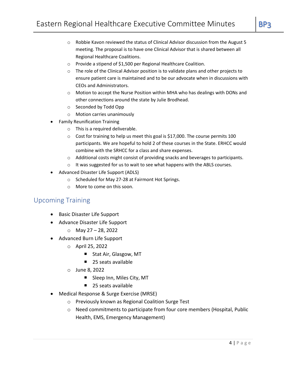- $\circ$  Robbie Kavon reviewed the status of Clinical Advisor discussion from the August 5 meeting. The proposal is to have one Clinical Advisor that is shared between all Regional Healthcare Coalitions.
- o Provide a stipend of \$1,500 per Regional Healthcare Coalition.
- o The role of the Clinical Advisor position is to validate plans and other projects to ensure patient care is maintained and to be our advocate when in discussions with CEOs and Administrators.
- $\circ$  Motion to accept the Nurse Position within MHA who has dealings with DONs and other connections around the state by Julie Brodhead.
- o Seconded by Todd Opp
- o Motion carries unanimously
- Family Reunification Training
	- o This is a required deliverable.
	- o Cost for training to help us meet this goal is \$17,000. The course permits 100 participants. We are hopeful to hold 2 of these courses in the State. ERHCC would combine with the SRHCC for a class and share expenses.
	- o Additional costs might consist of providing snacks and beverages to participants.
	- o It was suggested for us to wait to see what happens with the ABLS courses.
- Advanced Disaster Life Support (ADLS)
	- o Scheduled for May 27-28 at Fairmont Hot Springs.
	- o More to come on this soon.

# Upcoming Training

- Basic Disaster Life Support
- Advance Disaster Life Support
	- $O$  May 27 28, 2022
- Advanced Burn Life Support
	- o April 25, 2022
		- Stat Air, Glasgow, MT
		- 25 seats available
	- o June 8, 2022
		- Sleep Inn, Miles City, MT
		- 25 seats available
- Medical Response & Surge Exercise (MRSE)
	- o Previously known as Regional Coalition Surge Test
	- o Need commitments to participate from four core members (Hospital, Public Health, EMS, Emergency Management)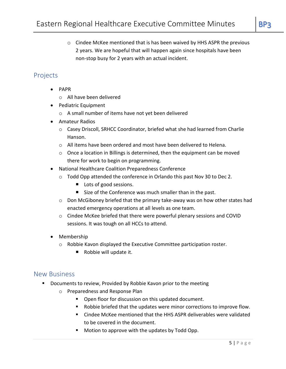$\circ$  Cindee McKee mentioned that is has been waived by HHS ASPR the previous 2 years. We are hopeful that will happen again since hospitals have been non-stop busy for 2 years with an actual incident.

# Projects

- PAPR
	- o All have been delivered
- Pediatric Equipment
	- o A small number of items have not yet been delivered
- Amateur Radios
	- o Casey Driscoll, SRHCC Coordinator, briefed what she had learned from Charlie Hanson.
	- o All items have been ordered and most have been delivered to Helena.
	- $\circ$  Once a location in Billings is determined, then the equipment can be moved there for work to begin on programming.
- National Healthcare Coalition Preparedness Conference
	- o Todd Opp attended the conference in Orlando this past Nov 30 to Dec 2.
		- Lots of good sessions.
		- Size of the Conference was much smaller than in the past.
	- $\circ$  Don McGiboney briefed that the primary take-away was on how other states had enacted emergency operations at all levels as one team.
	- o Cindee McKee briefed that there were powerful plenary sessions and COVID sessions. It was tough on all HCCs to attend.
- Membership
	- $\circ$  Robbie Kavon displayed the Executive Committee participation roster.
		- Robbie will update it.

# New Business

- Documents to review, Provided by Robbie Kavon prior to the meeting
	- o Preparedness and Response Plan
		- Open floor for discussion on this updated document.
		- Robbie briefed that the updates were minor corrections to improve flow.
		- Cindee McKee mentioned that the HHS ASPR deliverables were validated to be covered in the document.
		- Motion to approve with the updates by Todd Opp.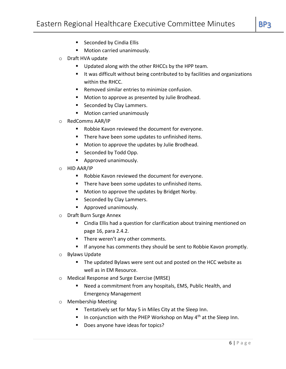- Seconded by Cindia Ellis
- Motion carried unanimously.
- o Draft HVA update
	- Updated along with the other RHCCs by the HPP team.
	- It was difficult without being contributed to by facilities and organizations within the RHCC.
	- Removed similar entries to minimize confusion.
	- Motion to approve as presented by Julie Brodhead.
	- Seconded by Clay Lammers.
	- Motion carried unanimously
- o RedComms AAR/IP
	- Robbie Kavon reviewed the document for everyone.
	- There have been some updates to unfinished items.
	- Motion to approve the updates by Julie Brodhead.
	- Seconded by Todd Opp.
	- Approved unanimously.
- o HID AAR/IP
	- Robbie Kavon reviewed the document for everyone.
	- There have been some updates to unfinished items.
	- Motion to approve the updates by Bridget Norby.
	- Seconded by Clay Lammers.
	- Approved unanimously.
- o Draft Burn Surge Annex
	- Cindia Ellis had a question for clarification about training mentioned on page 16, para 2.4.2.
	- There weren't any other comments.
	- If anyone has comments they should be sent to Robbie Kavon promptly.
- o Bylaws Update
	- The updated Bylaws were sent out and posted on the HCC website as well as in EM Resource.
- o Medical Response and Surge Exercise (MRSE)
	- Need a commitment from any hospitals, EMS, Public Health, and Emergency Management
- o Membership Meeting
	- Tentatively set for May 5 in Miles City at the Sleep Inn.
	- **■** In conjunction with the PHEP Workshop on May  $4<sup>th</sup>$  at the Sleep Inn.
	- Does anyone have ideas for topics?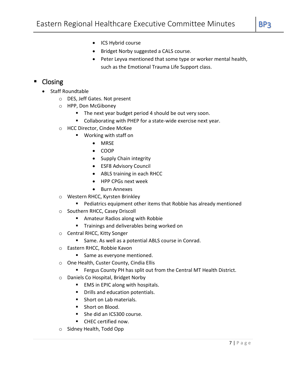- ICS Hybrid course
- Bridget Norby suggested a CALS course.
- Peter Leyva mentioned that some type or worker mental health, such as the Emotional Trauma Life Support class.

# ■ Closing

- Staff Roundtable
	- o DES, Jeff Gates. Not present
	- o HPP, Don McGiboney
		- The next year budget period 4 should be out very soon.
		- Collaborating with PHEP for a state-wide exercise next year.
	- o HCC Director, Cindee McKee
		- Working with staff on
			- MRSE
			- COOP
			- Supply Chain integrity
			- ESF8 Advisory Council
			- ABLS training in each RHCC
			- HPP CPGs next week
			- Burn Annexes
	- o Western RHCC, Kyrsten Brinkley
		- Pediatrics equipment other items that Robbie has already mentioned
	- o Southern RHCC, Casey Driscoll
		- Amateur Radios along with Robbie
		- **■** Trainings and deliverables being worked on
	- o Central RHCC, Kitty Songer
		- Same. As well as a potential ABLS course in Conrad.
	- o Eastern RHCC, Robbie Kavon
		- Same as everyone mentioned.
	- o One Health, Custer County, Cindia Ellis
		- Fergus County PH has split out from the Central MT Health District.
	- o Daniels Co Hospital, Bridget Norby
		- EMS in EPIC along with hospitals.
		- Drills and education potentials.
		- Short on Lab materials.
		- Short on Blood.
		- She did an ICS300 course.
		- CHEC certified now.
	- o Sidney Health, Todd Opp